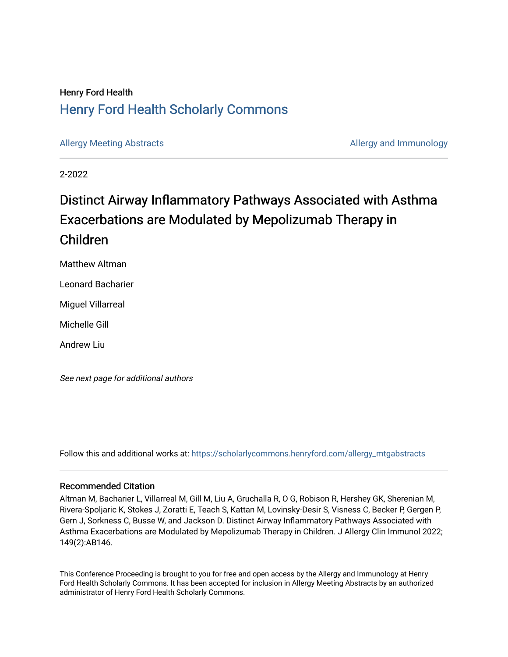## Henry Ford Health [Henry Ford Health Scholarly Commons](https://scholarlycommons.henryford.com/)

[Allergy Meeting Abstracts](https://scholarlycommons.henryford.com/allergy_mtgabstracts) **Allergy Meeting Abstracts** Allergy and Immunology

2-2022

# Distinct Airway Inflammatory Pathways Associated with Asthma Exacerbations are Modulated by Mepolizumab Therapy in Children

Matthew Altman

Leonard Bacharier

Miguel Villarreal

Michelle Gill

Andrew Liu

See next page for additional authors

Follow this and additional works at: [https://scholarlycommons.henryford.com/allergy\\_mtgabstracts](https://scholarlycommons.henryford.com/allergy_mtgabstracts?utm_source=scholarlycommons.henryford.com%2Fallergy_mtgabstracts%2F27&utm_medium=PDF&utm_campaign=PDFCoverPages) 

### Recommended Citation

Altman M, Bacharier L, Villarreal M, Gill M, Liu A, Gruchalla R, O G, Robison R, Hershey GK, Sherenian M, Rivera-Spoljaric K, Stokes J, Zoratti E, Teach S, Kattan M, Lovinsky-Desir S, Visness C, Becker P, Gergen P, Gern J, Sorkness C, Busse W, and Jackson D. Distinct Airway Inflammatory Pathways Associated with Asthma Exacerbations are Modulated by Mepolizumab Therapy in Children. J Allergy Clin Immunol 2022; 149(2):AB146.

This Conference Proceeding is brought to you for free and open access by the Allergy and Immunology at Henry Ford Health Scholarly Commons. It has been accepted for inclusion in Allergy Meeting Abstracts by an authorized administrator of Henry Ford Health Scholarly Commons.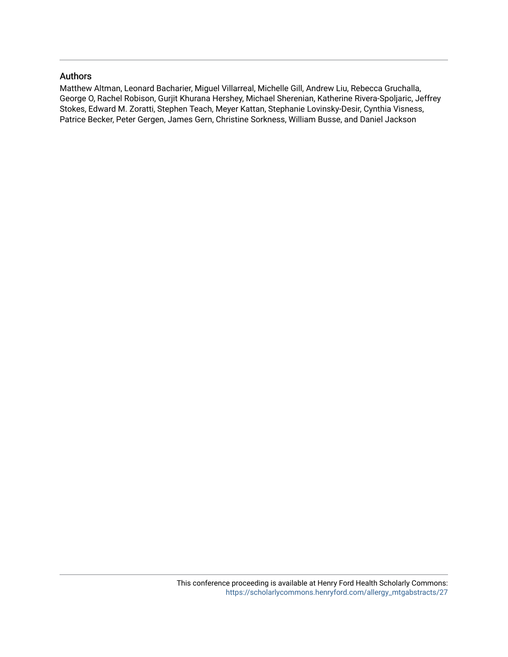#### Authors

Matthew Altman, Leonard Bacharier, Miguel Villarreal, Michelle Gill, Andrew Liu, Rebecca Gruchalla, George O, Rachel Robison, Gurjit Khurana Hershey, Michael Sherenian, Katherine Rivera-Spoljaric, Jeffrey Stokes, Edward M. Zoratti, Stephen Teach, Meyer Kattan, Stephanie Lovinsky-Desir, Cynthia Visness, Patrice Becker, Peter Gergen, James Gern, Christine Sorkness, William Busse, and Daniel Jackson